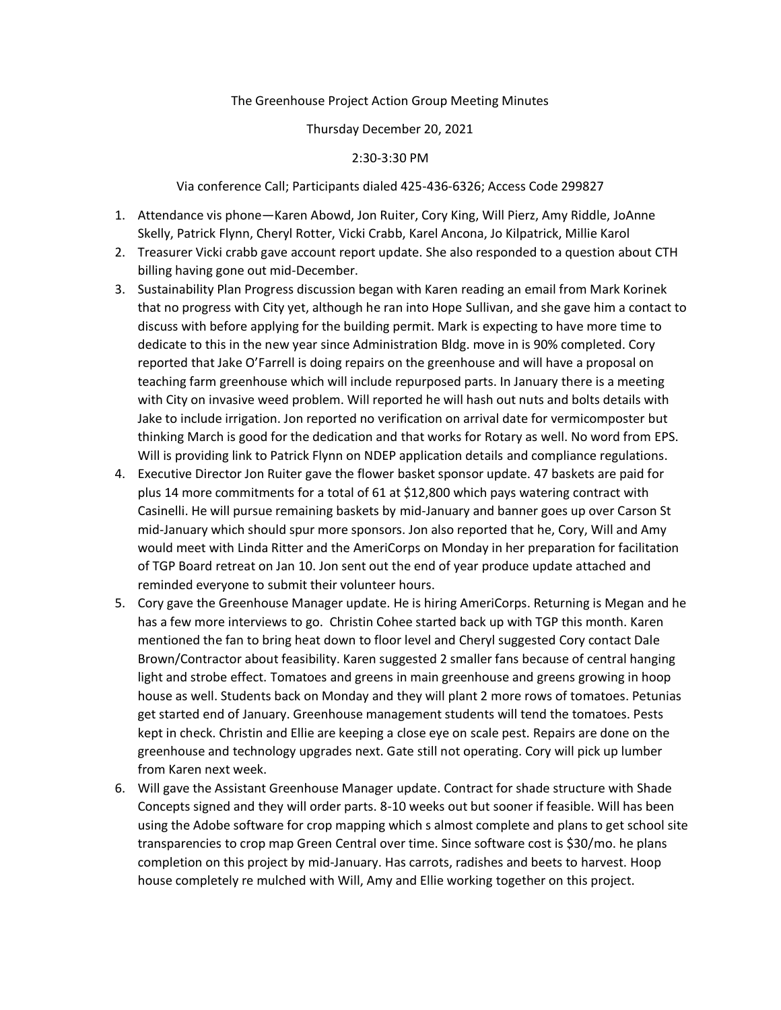### The Greenhouse Project Action Group Meeting Minutes

### Thursday December 20, 2021

### 2:30-3:30 PM

Via conference Call; Participants dialed 425-436-6326; Access Code 299827

- 1. Attendance vis phone—Karen Abowd, Jon Ruiter, Cory King, Will Pierz, Amy Riddle, JoAnne Skelly, Patrick Flynn, Cheryl Rotter, Vicki Crabb, Karel Ancona, Jo Kilpatrick, Millie Karol
- 2. Treasurer Vicki crabb gave account report update. She also responded to a question about CTH billing having gone out mid-December.
- 3. Sustainability Plan Progress discussion began with Karen reading an email from Mark Korinek that no progress with City yet, although he ran into Hope Sullivan, and she gave him a contact to discuss with before applying for the building permit. Mark is expecting to have more time to dedicate to this in the new year since Administration Bldg. move in is 90% completed. Cory reported that Jake O'Farrell is doing repairs on the greenhouse and will have a proposal on teaching farm greenhouse which will include repurposed parts. In January there is a meeting with City on invasive weed problem. Will reported he will hash out nuts and bolts details with Jake to include irrigation. Jon reported no verification on arrival date for vermicomposter but thinking March is good for the dedication and that works for Rotary as well. No word from EPS. Will is providing link to Patrick Flynn on NDEP application details and compliance regulations.
- 4. Executive Director Jon Ruiter gave the flower basket sponsor update. 47 baskets are paid for plus 14 more commitments for a total of 61 at \$12,800 which pays watering contract with Casinelli. He will pursue remaining baskets by mid-January and banner goes up over Carson St mid-January which should spur more sponsors. Jon also reported that he, Cory, Will and Amy would meet with Linda Ritter and the AmeriCorps on Monday in her preparation for facilitation of TGP Board retreat on Jan 10. Jon sent out the end of year produce update attached and reminded everyone to submit their volunteer hours.
- 5. Cory gave the Greenhouse Manager update. He is hiring AmeriCorps. Returning is Megan and he has a few more interviews to go. Christin Cohee started back up with TGP this month. Karen mentioned the fan to bring heat down to floor level and Cheryl suggested Cory contact Dale Brown/Contractor about feasibility. Karen suggested 2 smaller fans because of central hanging light and strobe effect. Tomatoes and greens in main greenhouse and greens growing in hoop house as well. Students back on Monday and they will plant 2 more rows of tomatoes. Petunias get started end of January. Greenhouse management students will tend the tomatoes. Pests kept in check. Christin and Ellie are keeping a close eye on scale pest. Repairs are done on the greenhouse and technology upgrades next. Gate still not operating. Cory will pick up lumber from Karen next week.
- 6. Will gave the Assistant Greenhouse Manager update. Contract for shade structure with Shade Concepts signed and they will order parts. 8-10 weeks out but sooner if feasible. Will has been using the Adobe software for crop mapping which s almost complete and plans to get school site transparencies to crop map Green Central over time. Since software cost is \$30/mo. he plans completion on this project by mid-January. Has carrots, radishes and beets to harvest. Hoop house completely re mulched with Will, Amy and Ellie working together on this project.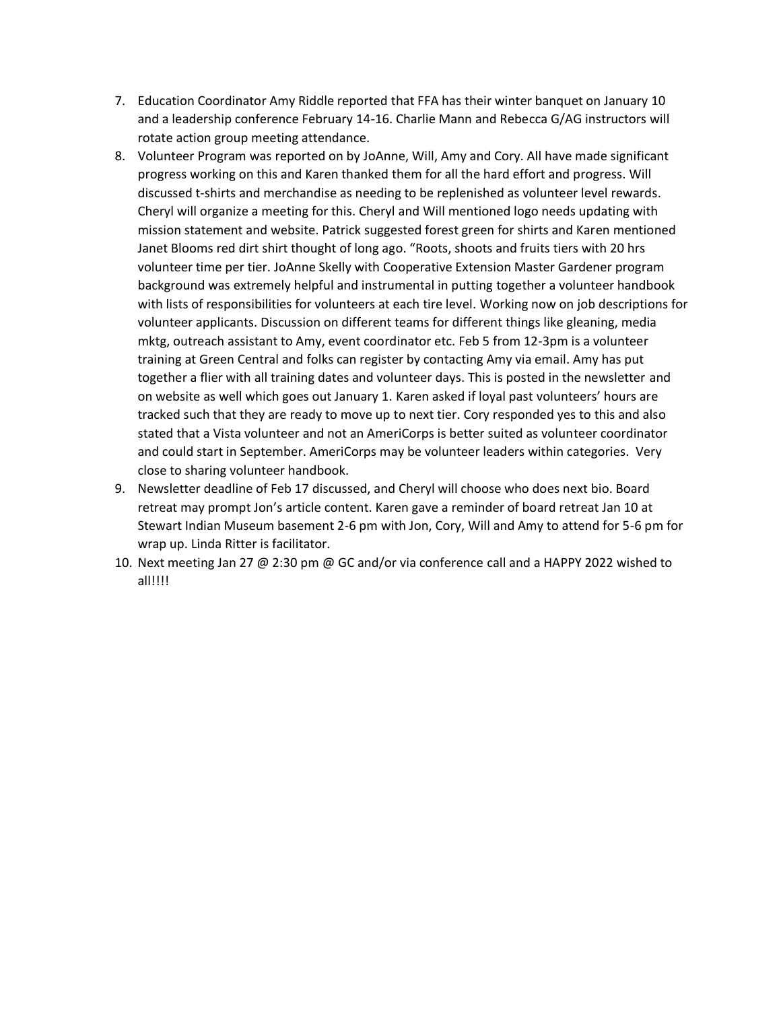- 7. Education Coordinator Amy Riddle reported that FFA has their winter banquet on January 10 and a leadership conference February 14-16. Charlie Mann and Rebecca G/AG instructors will rotate action group meeting attendance.
- 8. Volunteer Program was reported on by JoAnne, Will, Amy and Cory. All have made significant progress working on this and Karen thanked them for all the hard effort and progress. Will discussed t-shirts and merchandise as needing to be replenished as volunteer level rewards. Cheryl will organize a meeting for this. Cheryl and Will mentioned logo needs updating with mission statement and website. Patrick suggested forest green for shirts and Karen mentioned Janet Blooms red dirt shirt thought of long ago. "Roots, shoots and fruits tiers with 20 hrs volunteer time per tier. JoAnne Skelly with Cooperative Extension Master Gardener program background was extremely helpful and instrumental in putting together a volunteer handbook with lists of responsibilities for volunteers at each tire level. Working now on job descriptions for volunteer applicants. Discussion on different teams for different things like gleaning, media mktg, outreach assistant to Amy, event coordinator etc. Feb 5 from 12-3pm is a volunteer training at Green Central and folks can register by contacting Amy via email. Amy has put together a flier with all training dates and volunteer days. This is posted in the newsletter and on website as well which goes out January 1. Karen asked if loyal past volunteers' hours are tracked such that they are ready to move up to next tier. Cory responded yes to this and also stated that a Vista volunteer and not an AmeriCorps is better suited as volunteer coordinator and could start in September. AmeriCorps may be volunteer leaders within categories. Very close to sharing volunteer handbook.
- 9. Newsletter deadline of Feb 17 discussed, and Cheryl will choose who does next bio. Board retreat may prompt Jon's article content. Karen gave a reminder of board retreat Jan 10 at Stewart Indian Museum basement 2-6 pm with Jon, Cory, Will and Amy to attend for 5-6 pm for wrap up. Linda Ritter is facilitator.
- 10. Next meeting Jan 27 @ 2:30 pm @ GC and/or via conference call and a HAPPY 2022 wished to all!!!!